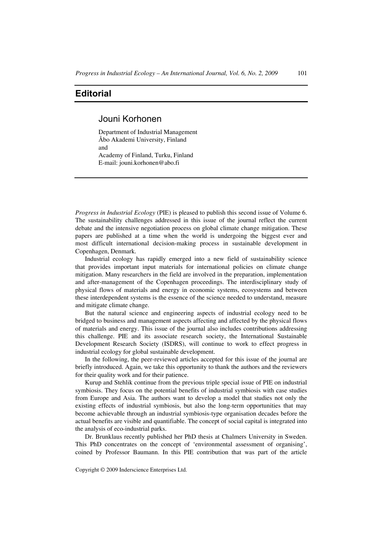## **Editorial**

## Jouni Korhonen

Department of Industrial Management Åbo Akademi University, Finland and Academy of Finland, Turku, Finland E-mail: jouni.korhonen@abo.fi

*Progress in Industrial Ecology* (PIE) is pleased to publish this second issue of Volume 6. The sustainability challenges addressed in this issue of the journal reflect the current debate and the intensive negotiation process on global climate change mitigation. These papers are published at a time when the world is undergoing the biggest ever and most difficult international decision-making process in sustainable development in Copenhagen, Denmark.

Industrial ecology has rapidly emerged into a new field of sustainability science that provides important input materials for international policies on climate change mitigation. Many researchers in the field are involved in the preparation, implementation and after-management of the Copenhagen proceedings. The interdisciplinary study of physical flows of materials and energy in economic systems, ecosystems and between these interdependent systems is the essence of the science needed to understand, measure and mitigate climate change.

But the natural science and engineering aspects of industrial ecology need to be bridged to business and management aspects affecting and affected by the physical flows of materials and energy. This issue of the journal also includes contributions addressing this challenge. PIE and its associate research society, the International Sustainable Development Research Society (ISDRS), will continue to work to effect progress in industrial ecology for global sustainable development.

In the following, the peer-reviewed articles accepted for this issue of the journal are briefly introduced. Again, we take this opportunity to thank the authors and the reviewers for their quality work and for their patience.

Kurup and Stehlik continue from the previous triple special issue of PIE on industrial symbiosis. They focus on the potential benefits of industrial symbiosis with case studies from Europe and Asia. The authors want to develop a model that studies not only the existing effects of industrial symbiosis, but also the long-term opportunities that may become achievable through an industrial symbiosis-type organisation decades before the actual benefits are visible and quantifiable. The concept of social capital is integrated into the analysis of eco-industrial parks.

Dr. Brunklaus recently published her PhD thesis at Chalmers University in Sweden. This PhD concentrates on the concept of 'environmental assessment of organising', coined by Professor Baumann. In this PIE contribution that was part of the article

Copyright © 2009 Inderscience Enterprises Ltd.